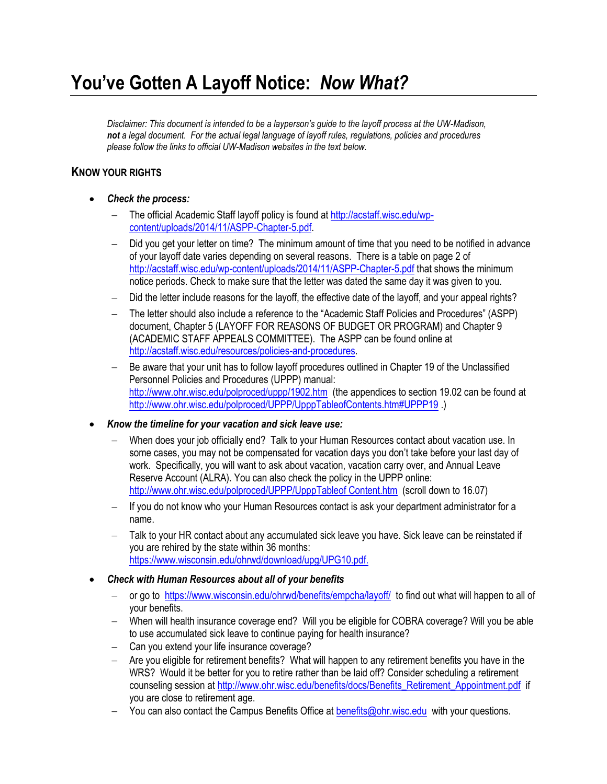# **You've Gotten A Layoff Notice:** *Now What?*

*Disclaimer: This document is intended to be a layperson's guide to the layoff process at the UW-Madison, not a legal document. For the actual legal language of layoff rules, regulations, policies and procedures please follow the links to official UW-Madison websites in the text below.*

### **KNOW YOUR RIGHTS**

- *Check the process:* 
	- The official Academic Staff layoff policy is found a[t http://acstaff.wisc.edu/wp](http://acstaff.wisc.edu/wp-content/uploads/2014/11/ASPP-Chapter-5.pdf)[content/uploads/2014/11/ASPP-Chapter-5.pdf.](http://acstaff.wisc.edu/wp-content/uploads/2014/11/ASPP-Chapter-5.pdf)
	- Did you get your letter on time? The minimum amount of time that you need to be notified in advance of your layoff date varies depending on several reasons. There is a table on page 2 of <http://acstaff.wisc.edu/wp-content/uploads/2014/11/ASPP-Chapter-5.pdf> that shows the minimum notice periods. Check to make sure that the letter was dated the same day it was given to you.
	- Did the letter include reasons for the layoff, the effective date of the layoff, and your appeal rights?
	- The letter should also include a reference to the "Academic Staff Policies and Procedures" (ASPP) document, Chapter 5 (LAYOFF FOR REASONS OF BUDGET OR PROGRAM) and Chapter 9 (ACADEMIC STAFF APPEALS COMMITTEE). The ASPP can be found online at [http://acstaff.wisc.edu/resources/policies-and-procedures.](http://acstaff.wisc.edu/resources/policies-and-procedures)
	- Be aware that your unit has to follow layoff procedures outlined in Chapter 19 of the Unclassified Personnel Policies and Procedures (UPPP) manual: <http://www.ohr.wisc.edu/polproced/uppp/1902.htm> (the appendices to section 19.02 can be found at <http://www.ohr.wisc.edu/polproced/UPPP/UpppTableofContents.htm#UPPP19> )
- *Know the timeline for your vacation and sick leave use:*
	- When does your job officially end? Talk to your Human Resources contact about vacation use. In some cases, you may not be compensated for vacation days you don't take before your last day of work. Specifically, you will want to ask about vacation, vacation carry over, and Annual Leave Reserve Account (ALRA). You can also check the policy in the UPPP online: [http://www.ohr.wisc.edu/polproced/UPPP/UpppTableof Content.htm](http://www.ohr.wisc.edu/polproced/UPPP/UpppTableof%20Content.htm) (scroll down to 16.07)
	- If you do not know who your Human Resources contact is ask your department administrator for a name.
	- Talk to your HR contact about any accumulated sick leave you have. Sick leave can be reinstated if you are rehired by the state within 36 months: <https://www.wisconsin.edu/ohrwd/download/upg/UPG10.pdf.>
- *Check with Human Resources about all of your benefits*
	- or go to <https://www.wisconsin.edu/ohrwd/benefits/empcha/layoff/> to find out what will happen to all of your benefits.
	- When will health insurance coverage end? Will you be eligible for COBRA coverage? Will you be able to use accumulated sick leave to continue paying for health insurance?
	- Can you extend your life insurance coverage?
	- Are you eligible for retirement benefits? What will happen to any retirement benefits you have in the WRS? Would it be better for you to retire rather than be laid off? Consider scheduling a retirement counseling session at [http://www.ohr.wisc.edu/benefits/docs/Benefits\\_Retirement\\_Appointment.pdf](http://www.ohr.wisc.edu/benefits/docs/Benefits_Retirement_Appointment.pdf) if you are close to retirement age.
	- You can also contact the Campus Benefits Office at [benefits@ohr.wisc.edu](mailto:benefits@ohr.wisc.edu) with your questions.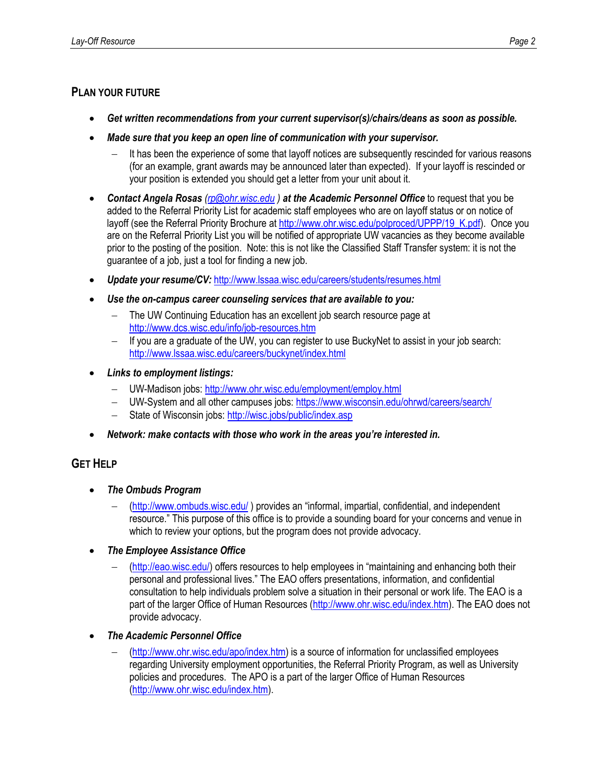## **PLAN YOUR FUTURE**

- *Get written recommendations from your current supervisor(s)/chairs/deans as soon as possible.*
- *Made sure that you keep an open line of communication with your supervisor.* 
	- It has been the experience of some that layoff notices are subsequently rescinded for various reasons (for an example, grant awards may be announced later than expected). If your layoff is rescinded or your position is extended you should get a letter from your unit about it.
- *Contact Angela Rosas [\(rp@ohr.wisc.edu](mailto:rp@ohr.wisc.edu) ) at the Academic Personnel Office* to request that you be added to the Referral Priority List for academic staff employees who are on layoff status or on notice of layoff (see the Referral Priority Brochure a[t http://www.ohr.wisc.edu/polproced/UPPP/19\\_K.pdf\)](http://www.ohr.wisc.edu/polproced/UPPP/19_K.pdf). Once you are on the Referral Priority List you will be notified of appropriate UW vacancies as they become available prior to the posting of the position. Note: this is not like the Classified Staff Transfer system: it is not the guarantee of a job, just a tool for finding a new job.
- *Update your resume/CV:* <http://www.lssaa.wisc.edu/careers/students/resumes.html>
- *Use the on-campus career counseling services that are available to you:*
	- The UW Continuing Education has an excellent job search resource page at <http://www.dcs.wisc.edu/info/job-resources.htm>
	- If you are a graduate of the UW, you can register to use BuckyNet to assist in your job search: <http://www.lssaa.wisc.edu/careers/buckynet/index.html>
- *Links to employment listings:*
	- UW-Madison jobs[: http://www.ohr.wisc.edu/employment/employ.html](http://www.ohr.wisc.edu/employment/employ.html)
	- UW-System and all other campuses jobs[: https://www.wisconsin.edu/ohrwd/careers/search/](https://www.wisconsin.edu/ohrwd/careers/search/)
	- State of Wisconsin jobs:<http://wisc.jobs/public/index.asp>
- *Network: make contacts with those who work in the areas you're interested in.*

## **GET HELP**

- *The Ombuds Program* 
	- [\(http://www.ombuds.wisc.edu/](http://www.ombuds.wisc.edu/) ) provides an "informal, impartial, confidential, and independent resource." This purpose of this office is to provide a sounding board for your concerns and venue in which to review your options, but the program does not provide advocacy.
- *The Employee Assistance Office* 
	- [\(http://eao.wisc.edu/\)](http://eao.wisc.edu/) offers resources to help employees in "maintaining and enhancing both their personal and professional lives." The EAO offers presentations, information, and confidential consultation to help individuals problem solve a situation in their personal or work life. The EAO is a part of the larger Office of Human Resources [\(http://www.ohr.wisc.edu/index.htm\)](http://www.ohr.wisc.edu/index.htm). The EAO does not provide advocacy.
- *The Academic Personnel Office* 
	- [\(http://www.ohr.wisc.edu/apo/index.htm\)](http://www.ohr.wisc.edu/apo/index.htm) is a source of information for unclassified employees regarding University employment opportunities, the Referral Priority Program, as well as University policies and procedures. The APO is a part of the larger Office of Human Resources [\(http://www.ohr.wisc.edu/index.htm\)](http://www.ohr.wisc.edu/index.htm).